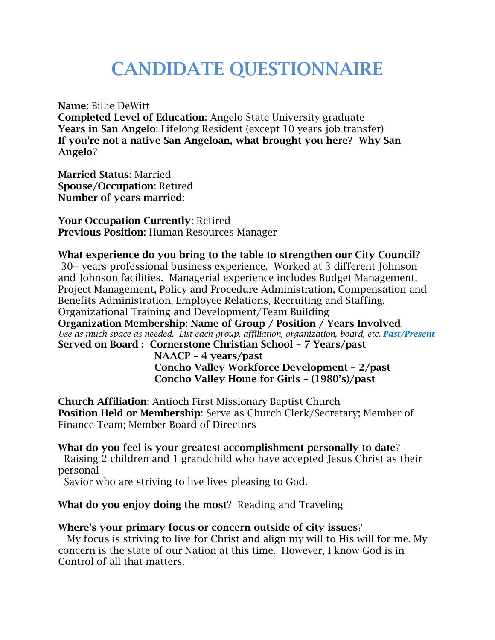## **CANDIDATE QUESTIONNAIRE**

**Name**: Billie DeWitt

**Completed Level of Education**: Angelo State University graduate **Years in San Angelo**: Lifelong Resident (except 10 years job transfer) **If you're not a native San Angeloan, what brought you here? Why San Angelo**?

**Married Status**: Married **Spouse/Occupation**: Retired **Number of years married**:

**Your Occupation Currently**: Retired **Previous Position**: Human Resources Manager

**What experience do you bring to the table to strengthen our City Council?** 30+ years professional business experience. Worked at 3 different Johnson and Johnson facilities. Managerial experience includes Budget Management, Project Management, Policy and Procedure Administration, Compensation and Benefits Administration, Employee Relations, Recruiting and Staffing, Organizational Training and Development/Team Building **Organization Membership: Name of Group / Position / Years Involved**  *Use as much space as needed. List each group, affiliation, organization, board, etc. Past/Present* **Served on Board : Cornerstone Christian School – 7 Years/past**

 **NAACP – 4 years/past Concho Valley Workforce Development – 2/past Concho Valley Home for Girls – (1980's)/past**

**Church Affiliation**: Antioch First Missionary Baptist Church **Position Held or Membership**: Serve as Church Clerk/Secretary; Member of Finance Team; Member Board of Directors

**What do you feel is your greatest accomplishment personally to date**? Raising 2 children and 1 grandchild who have accepted Jesus Christ as their personal

Savior who are striving to live lives pleasing to God.

**What do you enjoy doing the most**? Reading and Traveling

## **Where's your primary focus or concern outside of city issues**?

 My focus is striving to live for Christ and align my will to His will for me. My concern is the state of our Nation at this time. However, I know God is in Control of all that matters.